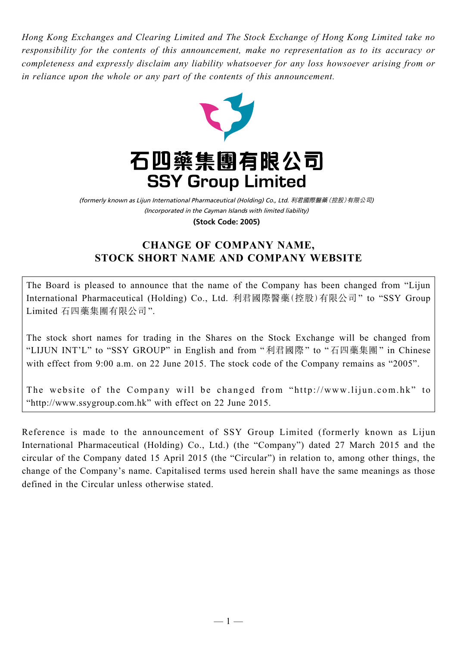*Hong Kong Exchanges and Clearing Limited and The Stock Exchange of Hong Kong Limited take no responsibility for the contents of this announcement, make no representation as to its accuracy or completeness and expressly disclaim any liability whatsoever for any loss howsoever arising from or in reliance upon the whole or any part of the contents of this announcement.*



(Incorporated in the Cayman Islands with limited liability) (formerly known as Lijun International Pharmaceutical (Holding) Co., Ltd. 利君國際醫藥(控股)有限公司) **(Stock Code: 2005)**

# **CHANGE OF COMPANY NAME, STOCK SHORT NAME AND COMPANY WEBSITE**

The Board is pleased to announce that the name of the Company has been changed from "Lijun International Pharmaceutical (Holding) Co., Ltd. 利君國際醫藥(控股)有限公司" to "SSY Group Limited 石四藥集團有限公司".

The stock short names for trading in the Shares on the Stock Exchange will be changed from "LIJUN INT'L" to "SSY GROUP" in English and from " 利君國際" to "石四藥集團" in Chinese with effect from 9:00 a.m. on 22 June 2015. The stock code of the Company remains as "2005".

The website of the Company will be changed from "http://www.lijun.com.hk" to "http://www.ssygroup.com.hk" with effect on 22 June 2015.

Reference is made to the announcement of SSY Group Limited (formerly known as Lijun International Pharmaceutical (Holding) Co., Ltd.) (the "Company") dated 27 March 2015 and the circular of the Company dated 15 April 2015 (the "Circular") in relation to, among other things, the change of the Company's name. Capitalised terms used herein shall have the same meanings as those defined in the Circular unless otherwise stated.